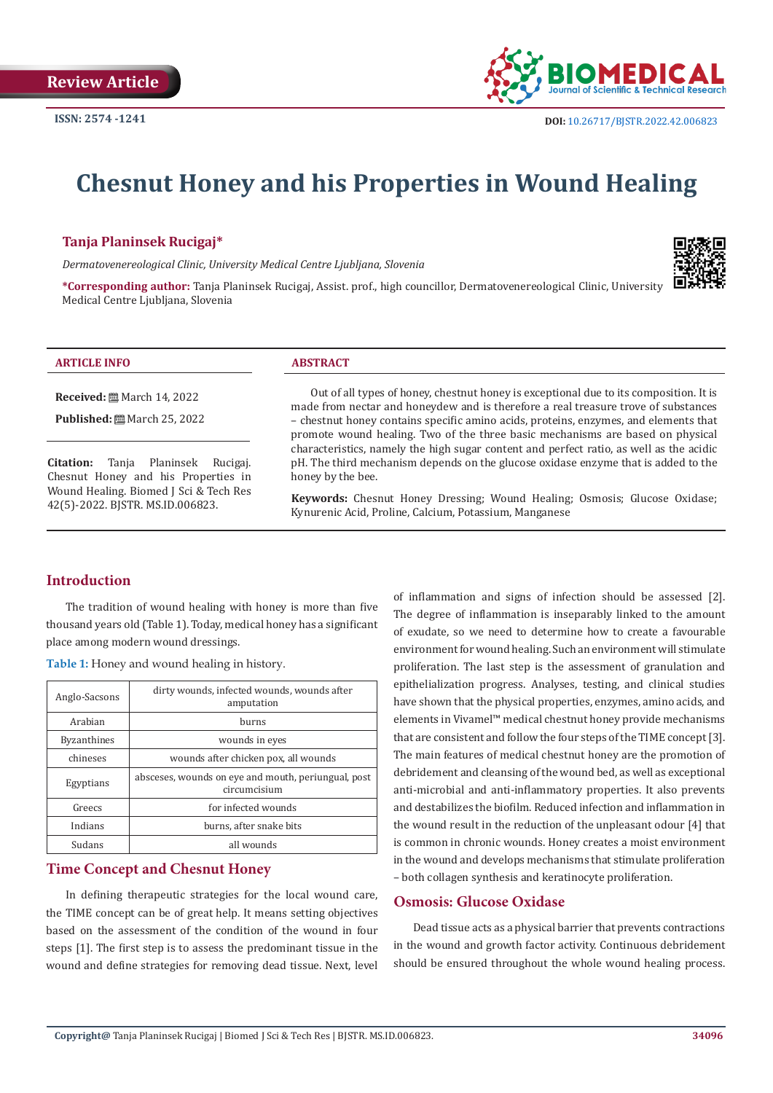

# **Chesnut Honey and his Properties in Wound Healing**

#### **Tanja Planinsek Rucigaj\***

*Dermatovenereological Clinic, University Medical Centre Ljubljana, Slovenia*



**\*Corresponding author:** Tanja Planinsek Rucigaj, Assist. prof., high councillor, Dermatovenereological Clinic, University Medical Centre Ljubljana, Slovenia

#### **ARTICLE INFO ABSTRACT**

**Received:** March 14, 2022

**Published:** ■ March 25, 2022

**Citation:** Tanja Planinsek Rucigaj. Chesnut Honey and his Properties in Wound Healing. Biomed J Sci & Tech Res 42(5)-2022. BJSTR. MS.ID.006823.

Out of all types of honey, chestnut honey is exceptional due to its composition. It is made from nectar and honeydew and is therefore a real treasure trove of substances – chestnut honey contains specific amino acids, proteins, enzymes, and elements that promote wound healing. Two of the three basic mechanisms are based on physical characteristics, namely the high sugar content and perfect ratio, as well as the acidic pH. The third mechanism depends on the glucose oxidase enzyme that is added to the honey by the bee.

**Keywords:** Chesnut Honey Dressing; Wound Healing; Osmosis; Glucose Oxidase; Kynurenic Acid, Proline, Calcium, Potassium, Manganese

# **Introduction**

The tradition of wound healing with honey is more than five thousand years old (Table 1). Today, medical honey has a significant place among modern wound dressings.

**Table 1:** Honey and wound healing in history.

| Anglo-Sacsons      | dirty wounds, infected wounds, wounds after<br>amputation           |  |  |
|--------------------|---------------------------------------------------------------------|--|--|
| Arabian            | burns                                                               |  |  |
| <b>Byzanthines</b> | wounds in eyes                                                      |  |  |
| chineses           | wounds after chicken pox, all wounds                                |  |  |
| Egyptians          | absceses, wounds on eye and mouth, periungual, post<br>circumcisium |  |  |
| Greecs             | for infected wounds                                                 |  |  |
| Indians            | burns, after snake bits                                             |  |  |
| Sudans             | all wounds                                                          |  |  |

#### **Time Concept and Chesnut Honey**

In defining therapeutic strategies for the local wound care, the TIME concept can be of great help. It means setting objectives based on the assessment of the condition of the wound in four steps [1]. The first step is to assess the predominant tissue in the wound and define strategies for removing dead tissue. Next, level

of inflammation and signs of infection should be assessed [2]. The degree of inflammation is inseparably linked to the amount of exudate, so we need to determine how to create a favourable environment for wound healing. Such an environment will stimulate proliferation. The last step is the assessment of granulation and epithelialization progress. Analyses, testing, and clinical studies have shown that the physical properties, enzymes, amino acids, and elements in Vivamel™ medical chestnut honey provide mechanisms that are consistent and follow the four steps of the TIME concept [3]. The main features of medical chestnut honey are the promotion of debridement and cleansing of the wound bed, as well as exceptional anti-microbial and anti-inflammatory properties. It also prevents and destabilizes the biofilm. Reduced infection and inflammation in the wound result in the reduction of the unpleasant odour [4] that is common in chronic wounds. Honey creates a moist environment in the wound and develops mechanisms that stimulate proliferation – both collagen synthesis and keratinocyte proliferation.

## **Osmosis: Glucose Oxidase**

Dead tissue acts as a physical barrier that prevents contractions in the wound and growth factor activity. Continuous debridement should be ensured throughout the whole wound healing process.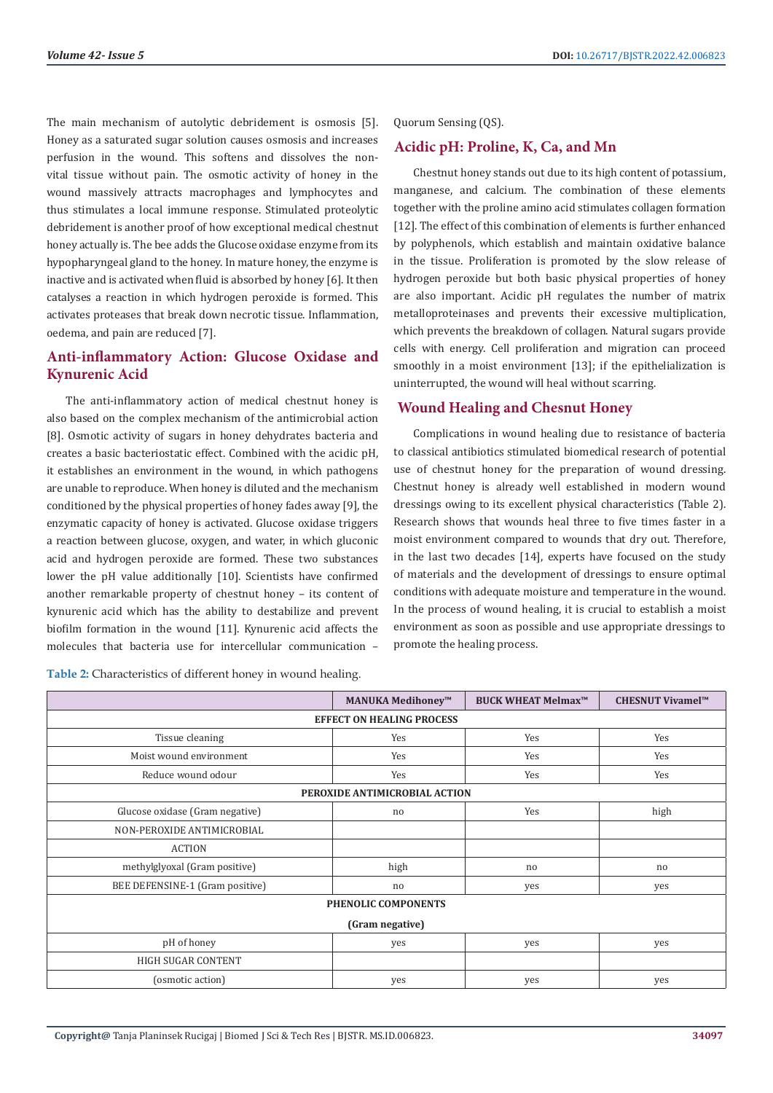The main mechanism of autolytic debridement is osmosis [5]. Honey as a saturated sugar solution causes osmosis and increases perfusion in the wound. This softens and dissolves the nonvital tissue without pain. The osmotic activity of honey in the wound massively attracts macrophages and lymphocytes and thus stimulates a local immune response. Stimulated proteolytic debridement is another proof of how exceptional medical chestnut honey actually is. The bee adds the Glucose oxidase enzyme from its hypopharyngeal gland to the honey. In mature honey, the enzyme is inactive and is activated when fluid is absorbed by honey [6]. It then catalyses a reaction in which hydrogen peroxide is formed. This activates proteases that break down necrotic tissue. Inflammation, oedema, and pain are reduced [7].

# **Anti-inflammatory Action: Glucose Oxidase and Kynurenic Acid**

The anti-inflammatory action of medical chestnut honey is also based on the complex mechanism of the antimicrobial action [8]. Osmotic activity of sugars in honey dehydrates bacteria and creates a basic bacteriostatic effect. Combined with the acidic pH, it establishes an environment in the wound, in which pathogens are unable to reproduce. When honey is diluted and the mechanism conditioned by the physical properties of honey fades away [9], the enzymatic capacity of honey is activated. Glucose oxidase triggers a reaction between glucose, oxygen, and water, in which gluconic acid and hydrogen peroxide are formed. These two substances lower the pH value additionally [10]. Scientists have confirmed another remarkable property of chestnut honey – its content of kynurenic acid which has the ability to destabilize and prevent biofilm formation in the wound [11]. Kynurenic acid affects the molecules that bacteria use for intercellular communication –

**Table 2:** Characteristics of different honey in wound healing.

Quorum Sensing (QS).

#### **Acidic pH: Proline, K, Ca, and Mn**

Chestnut honey stands out due to its high content of potassium, manganese, and calcium. The combination of these elements together with the proline amino acid stimulates collagen formation [12]. The effect of this combination of elements is further enhanced by polyphenols, which establish and maintain oxidative balance in the tissue. Proliferation is promoted by the slow release of hydrogen peroxide but both basic physical properties of honey are also important. Acidic pH regulates the number of matrix metalloproteinases and prevents their excessive multiplication, which prevents the breakdown of collagen. Natural sugars provide cells with energy. Cell proliferation and migration can proceed smoothly in a moist environment [13]; if the epithelialization is uninterrupted, the wound will heal without scarring.

#### **Wound Healing and Chesnut Honey**

Complications in wound healing due to resistance of bacteria to classical antibiotics stimulated biomedical research of potential use of chestnut honey for the preparation of wound dressing. Chestnut honey is already well established in modern wound dressings owing to its excellent physical characteristics (Table 2). Research shows that wounds heal three to five times faster in a moist environment compared to wounds that dry out. Therefore, in the last two decades [14], experts have focused on the study of materials and the development of dressings to ensure optimal conditions with adequate moisture and temperature in the wound. In the process of wound healing, it is crucial to establish a moist environment as soon as possible and use appropriate dressings to promote the healing process.

|                                  | MANUKA Medihoney™ | <b>BUCK WHEAT Melmax™</b> | <b>CHESNUT Vivamel™</b> |  |  |  |
|----------------------------------|-------------------|---------------------------|-------------------------|--|--|--|
| <b>EFFECT ON HEALING PROCESS</b> |                   |                           |                         |  |  |  |
| Tissue cleaning                  | Yes               | Yes                       | Yes                     |  |  |  |
| Moist wound environment          | Yes               | Yes                       | Yes                     |  |  |  |
| Reduce wound odour               | Yes               | Yes                       | Yes                     |  |  |  |
| PEROXIDE ANTIMICROBIAL ACTION    |                   |                           |                         |  |  |  |
| Glucose oxidase (Gram negative)  | no                | Yes                       | high                    |  |  |  |
| NON-PEROXIDE ANTIMICROBIAL       |                   |                           |                         |  |  |  |
| <b>ACTION</b>                    |                   |                           |                         |  |  |  |
| methylglyoxal (Gram positive)    | high              | no                        | no                      |  |  |  |
| BEE DEFENSINE-1 (Gram positive)  | no                | yes                       | yes                     |  |  |  |
| PHENOLIC COMPONENTS              |                   |                           |                         |  |  |  |
| (Gram negative)                  |                   |                           |                         |  |  |  |
| pH of honey                      | yes               | yes                       | yes                     |  |  |  |
| HIGH SUGAR CONTENT               |                   |                           |                         |  |  |  |
| (osmotic action)                 | yes               | yes                       | yes                     |  |  |  |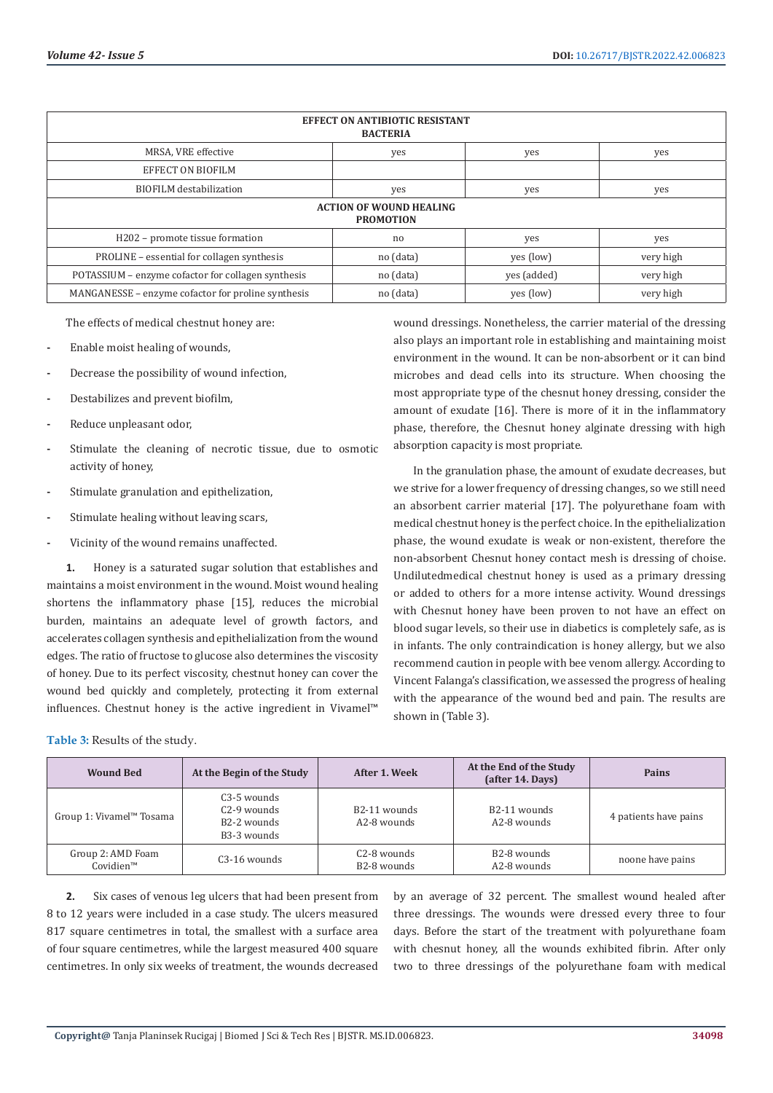| <b>EFFECT ON ANTIBIOTIC RESISTANT</b><br><b>BACTERIA</b> |           |             |           |  |  |  |
|----------------------------------------------------------|-----------|-------------|-----------|--|--|--|
| MRSA, VRE effective                                      | yes       | yes         | yes       |  |  |  |
| <b>EFFECT ON BIOFILM</b>                                 |           |             |           |  |  |  |
| <b>BIOFILM</b> destabilization                           | yes       | yes         | yes       |  |  |  |
| <b>ACTION OF WOUND HEALING</b><br><b>PROMOTION</b>       |           |             |           |  |  |  |
| H202 - promote tissue formation                          | no        | yes         | yes       |  |  |  |
| PROLINE - essential for collagen synthesis               | no (data) | yes (low)   | very high |  |  |  |
| POTASSIUM – enzyme cofactor for collagen synthesis       | no (data) | yes (added) | very high |  |  |  |
| MANGANESSE – enzyme cofactor for proline synthesis       | no (data) | yes (low)   | very high |  |  |  |

The effects of medical chestnut honey are:

- **-** Enable moist healing of wounds,
- **-** Decrease the possibility of wound infection,
- **-** Destabilizes and prevent biofilm,
- **-** Reduce unpleasant odor,
- **-** Stimulate the cleaning of necrotic tissue, due to osmotic activity of honey,
- **-** Stimulate granulation and epithelization,
- **-** Stimulate healing without leaving scars,
- **-** Vicinity of the wound remains unaffected.

**1.** Honey is a saturated sugar solution that establishes and maintains a moist environment in the wound. Moist wound healing shortens the inflammatory phase [15], reduces the microbial burden, maintains an adequate level of growth factors, and accelerates collagen synthesis and epithelialization from the wound edges. The ratio of fructose to glucose also determines the viscosity of honey. Due to its perfect viscosity, chestnut honey can cover the wound bed quickly and completely, protecting it from external influences. Chestnut honey is the active ingredient in Vivamel™

**Table 3:** Results of the study.

wound dressings. Nonetheless, the carrier material of the dressing also plays an important role in establishing and maintaining moist environment in the wound. It can be non-absorbent or it can bind microbes and dead cells into its structure. When choosing the most appropriate type of the chesnut honey dressing, consider the amount of exudate [16]. There is more of it in the inflammatory phase, therefore, the Chesnut honey alginate dressing with high absorption capacity is most propriate.

In the granulation phase, the amount of exudate decreases, but we strive for a lower frequency of dressing changes, so we still need an absorbent carrier material [17]. The polyurethane foam with medical chestnut honey is the perfect choice. In the epithelialization phase, the wound exudate is weak or non-existent, therefore the non-absorbent Chesnut honey contact mesh is dressing of choise. Undilutedmedical chestnut honey is used as a primary dressing or added to others for a more intense activity. Wound dressings with Chesnut honey have been proven to not have an effect on blood sugar levels, so their use in diabetics is completely safe, as is in infants. The only contraindication is honey allergy, but we also recommend caution in people with bee venom allergy. According to Vincent Falanga's classification, we assessed the progress of healing with the appearance of the wound bed and pain. The results are shown in (Table 3).

| <b>Wound Bed</b>               | At the Begin of the Study                                                              | After 1. Week                            | At the End of the Study<br>(after 14. Days) | Pains                 |
|--------------------------------|----------------------------------------------------------------------------------------|------------------------------------------|---------------------------------------------|-----------------------|
| Group 1: Vivamel™ Tosama       | C <sub>3</sub> -5 wounds<br>$C2 - 9$ wounds<br>B <sub>2</sub> -2 wounds<br>B3-3 wounds | B <sub>2</sub> -11 wounds<br>A2-8 wounds | B <sub>2</sub> -11 wounds<br>A2-8 wounds    | 4 patients have pains |
| Group 2: AMD Foam<br>Covidien™ | C <sub>3</sub> -16 wounds                                                              | C <sub>2</sub> -8 wounds<br>B2-8 wounds  | B2-8 wounds<br>A2-8 wounds                  | noone have pains      |

**2.** Six cases of venous leg ulcers that had been present from 8 to 12 years were included in a case study. The ulcers measured 817 square centimetres in total, the smallest with a surface area of four square centimetres, while the largest measured 400 square centimetres. In only six weeks of treatment, the wounds decreased by an average of 32 percent. The smallest wound healed after three dressings. The wounds were dressed every three to four days. Before the start of the treatment with polyurethane foam with chesnut honey, all the wounds exhibited fibrin. After only two to three dressings of the polyurethane foam with medical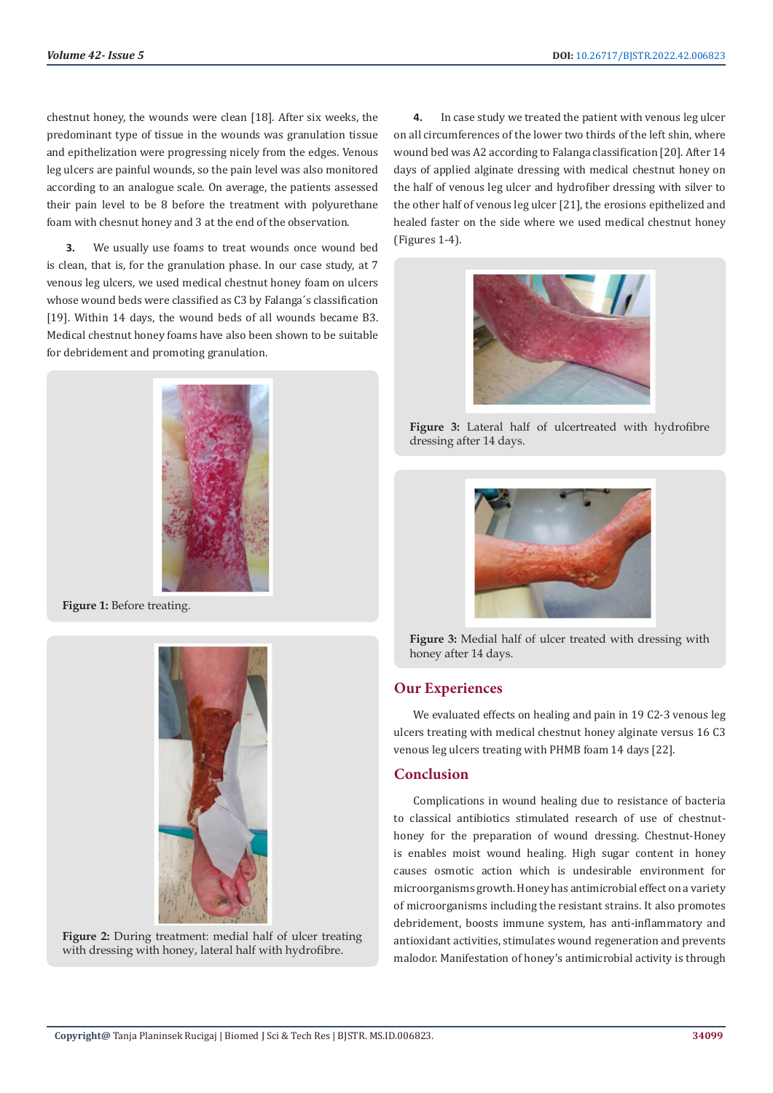chestnut honey, the wounds were clean [18]. After six weeks, the predominant type of tissue in the wounds was granulation tissue and epithelization were progressing nicely from the edges. Venous leg ulcers are painful wounds, so the pain level was also monitored according to an analogue scale. On average, the patients assessed their pain level to be 8 before the treatment with polyurethane foam with chesnut honey and 3 at the end of the observation.

**3.** We usually use foams to treat wounds once wound bed is clean, that is, for the granulation phase. In our case study, at 7 venous leg ulcers, we used medical chestnut honey foam on ulcers whose wound beds were classified as C3 by Falanga´s classification [19]. Within 14 days, the wound beds of all wounds became B3. Medical chestnut honey foams have also been shown to be suitable for debridement and promoting granulation.



**Figure 1:** Before treating.





**4.** In case study we treated the patient with venous leg ulcer on all circumferences of the lower two thirds of the left shin, where wound bed was A2 according to Falanga classification [20]. After 14 days of applied alginate dressing with medical chestnut honey on the half of venous leg ulcer and hydrofiber dressing with silver to the other half of venous leg ulcer [21], the erosions epithelized and healed faster on the side where we used medical chestnut honey (Figures 1-4).



**Figure 3:** Lateral half of ulcertreated with hydrofibre dressing after 14 days.



**Figure 3:** Medial half of ulcer treated with dressing with honey after 14 days.

# **Our Experiences**

We evaluated effects on healing and pain in 19 C2-3 venous leg ulcers treating with medical chestnut honey alginate versus 16 C3 venous leg ulcers treating with PHMB foam 14 days [22].

## **Conclusion**

Complications in wound healing due to resistance of bacteria to classical antibiotics stimulated research of use of chestnuthoney for the preparation of wound dressing. Chestnut-Honey is enables moist wound healing. High sugar content in honey causes osmotic action which is undesirable environment for microorganisms growth. Honey has antimicrobial effect on a variety of microorganisms including the resistant strains. It also promotes debridement, boosts immune system, has anti-inflammatory and antioxidant activities, stimulates wound regeneration and prevents malodor. Manifestation of honey's antimicrobial activity is through